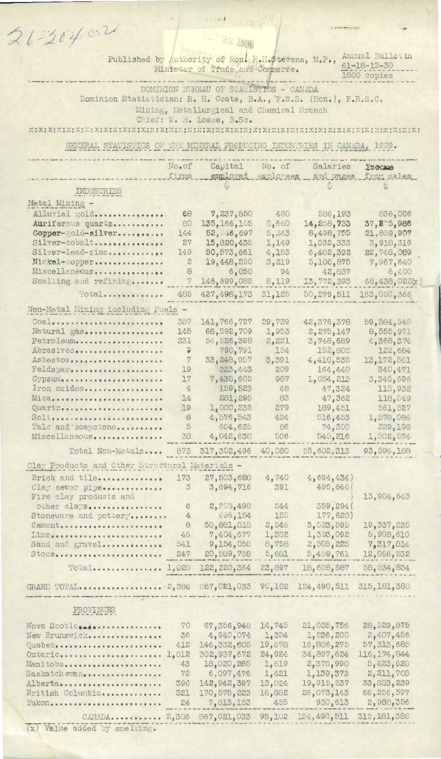| $21 - 20402$                                                                                                                                                                                                                                               |                      |                                                                                       |                     |                            |                                        |  |
|------------------------------------------------------------------------------------------------------------------------------------------------------------------------------------------------------------------------------------------------------------|----------------------|---------------------------------------------------------------------------------------|---------------------|----------------------------|----------------------------------------|--|
|                                                                                                                                                                                                                                                            |                      |                                                                                       |                     |                            |                                        |  |
|                                                                                                                                                                                                                                                            |                      | Published by Authority of Hon. H.H.\$tevens, M.P.,<br>Minister of Trade and Commerce. |                     |                            | Annual Bulletin<br>$61 - 18 - 12 - 30$ |  |
| 1800 copies<br>DOMINION BUREAU OF STATISTICS - CANADA                                                                                                                                                                                                      |                      |                                                                                       |                     |                            |                                        |  |
| Dominion Statistician: R. H. Coats, B.A., F.S.S. (Hon.), F.R.S.C.                                                                                                                                                                                          |                      |                                                                                       |                     |                            |                                        |  |
| Mining, Metallurgical and Chemical Branch                                                                                                                                                                                                                  |                      |                                                                                       |                     |                            |                                        |  |
| Chief: W. H. Losee, B.Sc.<br>$X$ ; $X$ ; $X$ ; $X$ ; $X$ ; $X$ ; $X$ ; $X$ ; $X$ ; $X$ ; $X$ ; $X$ ; $X$ ; $X$ ; $X$ ; $X$ ; $X$ ; $X$ ; $X$ ; $X$ ; $X$ ; $X$ ; $X$ ; $X$ ; $X$ ; $X$ ; $X$ ; $X$ ; $X$ ; $X$ ; $X$ ; $X$ ; $X$ ; $X$ ; $X$ ; $X$ ; $X$ ; |                      |                                                                                       |                     |                            |                                        |  |
| GENERAL STATISTICS ON THE MINERAL PRODUCING INDUSTRIES IN CANADA, 1929.                                                                                                                                                                                    |                      |                                                                                       |                     |                            |                                        |  |
|                                                                                                                                                                                                                                                            |                      |                                                                                       |                     |                            |                                        |  |
|                                                                                                                                                                                                                                                            | No.of<br>firms       | Capital<br>employed                                                                   | No. of<br>employees | Salaries                   | l'nocume<br>and wages from sales       |  |
| INDUSTRIES                                                                                                                                                                                                                                                 |                      |                                                                                       |                     |                            |                                        |  |
| Metal Mining -                                                                                                                                                                                                                                             |                      |                                                                                       |                     |                            |                                        |  |
| Alluvial gold                                                                                                                                                                                                                                              | 68                   | 7,237,850                                                                             | 488                 | 586,193                    | 836,006                                |  |
| Auriferous quartz<br>Copper-gold-silver                                                                                                                                                                                                                    | 80<br>144            | 135, 166, 105<br>52, ±6,697                                                           | 8,660<br>5,243      | 14,258,733<br>8,498,755    | 37,275,986<br>21,859,907               |  |
| Silver-cobalt                                                                                                                                                                                                                                              | 27                   | 15,820,435                                                                            | 1,149               | 1,532,333                  | 3,918,316                              |  |
| Silver-lead-zinc<br>Nickel-copper                                                                                                                                                                                                                          | 149                  | 50,573,661                                                                            | 4,153               | 6,482,392                  | 22,748,089                             |  |
| Miscellaneous                                                                                                                                                                                                                                              | z<br>8               | 19,448,290<br>6,050                                                                   | 3,219<br>94         | 5,105,875<br>42,837        | 7,967,640<br>6,400                     |  |
| Smelting and refining                                                                                                                                                                                                                                      | 7                    | 146, 399, 085                                                                         | 8,119               | 13,772,393                 | 68,438,022(x                           |  |
| Total                                                                                                                                                                                                                                                      | 485                  | 427, 498, 173                                                                         | 31,125              | 50,279,511                 | 163,050,366                            |  |
| Non-Metal Mining including Fuels -                                                                                                                                                                                                                         |                      |                                                                                       |                     |                            |                                        |  |
| Coal                                                                                                                                                                                                                                                       | 357                  | 141,766,727                                                                           | 29,739              | 42,376,378                 | 59,584,545                             |  |
| Natural gas<br>Petroleum                                                                                                                                                                                                                                   | 145<br>231           | 68,592,709<br>54,526,398                                                              | 1,953<br>2,221      | 2,275,147<br>3,748,689     | 8,555,971<br>4,368,374                 |  |
| Abrasives                                                                                                                                                                                                                                                  | 9                    | 790,791                                                                               | 154                 | 152,805                    | 122,684                                |  |
| Asbestos<br>Feldspar                                                                                                                                                                                                                                       | $\eta$<br>79         | 33,248,957<br>223.443                                                                 | 3,391<br>209        | 4,410,535<br>164,440       | 13, 172, 581<br>340,471                |  |
| Gypsum                                                                                                                                                                                                                                                     | 17                   | 7,438,605                                                                             | 987                 | 1,054,213                  | 3,345,696                              |  |
| Iron oxides<br>Mica,                                                                                                                                                                                                                                       | $\overline{4}$<br>14 | 159,523<br>281,295                                                                    | 48<br>83            | 47,324<br>47,362           | 115,932<br>118,549                     |  |
| Quartz                                                                                                                                                                                                                                                     | 19                   | 1,000,232                                                                             | 279                 | 189,451                    | 561,527                                |  |
| Salt,                                                                                                                                                                                                                                                      | 8                    | 4,576,543                                                                             | 424                 | 516,453                    | 1,578,086                              |  |
| Tale and soapstone<br>Miscellaneous                                                                                                                                                                                                                        | $\overline{5}$<br>38 | 654,635<br>4,042,638                                                                  | 86<br>506           | 74,300<br>545,216          | 229,198<br>1,502,574                   |  |
| Total Non-Metals 873                                                                                                                                                                                                                                       |                      | 317,302,496                                                                           | 40,080              | 55,602,313                 | 93,596,188                             |  |
| Clay Products and Other Structural Materials -                                                                                                                                                                                                             |                      |                                                                                       |                     |                            |                                        |  |
| Brick and tile                                                                                                                                                                                                                                             | 173                  | 27,503,688                                                                            | 4,740               | 4,694,434)                 |                                        |  |
| Clay sewer pipe<br>Fire clay products and                                                                                                                                                                                                                  | $\mathcal{Z}$        | 3,694,716                                                                             | 391                 | 495,666(                   | 13,904,643                             |  |
| other clays                                                                                                                                                                                                                                                | 6                    | 2,205,498                                                                             | 244                 | 359,294(                   |                                        |  |
| Stoneware and pottery                                                                                                                                                                                                                                      | $\overline{4}$<br>8  | 696,154<br>50,881,818                                                                 | 155<br>2,546        | 177,620)<br>3,523,595      | 19, 337, 235                           |  |
| Cement<br>Lime                                                                                                                                                                                                                                             | 46                   | 7,404,677                                                                             | 1,382               | 1,393,092                  | 5,908,610                              |  |
| Sand and gravel                                                                                                                                                                                                                                            | 541                  | 9,154,055                                                                             | 8,758               | 2,505,225                  | 7,317,814                              |  |
| Stone                                                                                                                                                                                                                                                      | 247                  | 20,589,758                                                                            | 5,681               | 5,459,761                  | 12,066,532                             |  |
|                                                                                                                                                                                                                                                            |                      | 122, 220, 364                                                                         | 23,897              | 18,608,687                 | 58, 534, 834                           |  |
|                                                                                                                                                                                                                                                            |                      |                                                                                       |                     |                            |                                        |  |
| PROVINCES                                                                                                                                                                                                                                                  |                      |                                                                                       |                     |                            |                                        |  |
|                                                                                                                                                                                                                                                            |                      |                                                                                       |                     |                            |                                        |  |
| Nova Scotia<br>New Brunswick                                                                                                                                                                                                                               | 70<br>36             | 67,356,948<br>4,945,074                                                               | 14,745<br>1,354     | 21,035,756<br>1,236,200    | 28,529,875<br>2,407,456                |  |
| Quebec                                                                                                                                                                                                                                                     | 412                  | 146, 332, 805                                                                         | 19,678              | 16,886,275                 | 57, 313, 685                           |  |
| Ontario<br>Manitoba                                                                                                                                                                                                                                        | 1,012<br>43          | 302,937,672<br>18,020,285                                                             | 24,924<br>1,819     | 34,897,624<br>2,375,990    | 116, 174, 844<br>5,423,628             |  |
| Saskatchewan                                                                                                                                                                                                                                               | 72                   | 6,097,476                                                                             | 1,421               | 1,139,373                  | 2, 211, 708                            |  |
| Alberta<br>British Columbia                                                                                                                                                                                                                                | 396<br>321           | 142, 942, 397<br>170, 575, 223                                                        | 13,824<br>16,882    | 19, 915, 537<br>26,073,143 | 33, 833, 239<br>66,256,597             |  |
| Yukon                                                                                                                                                                                                                                                      | 24                   | 7, 313, 153                                                                           | 455                 | 930,613                    | 2,980,356                              |  |
| CANADA 2,386 867,021,033 95,102                                                                                                                                                                                                                            |                      |                                                                                       |                     | 124,490,511 315,181,388    |                                        |  |
| $(x)$ Value added by smelting.                                                                                                                                                                                                                             |                      |                                                                                       |                     |                            |                                        |  |

 $\sim$  100  $\pm$  100